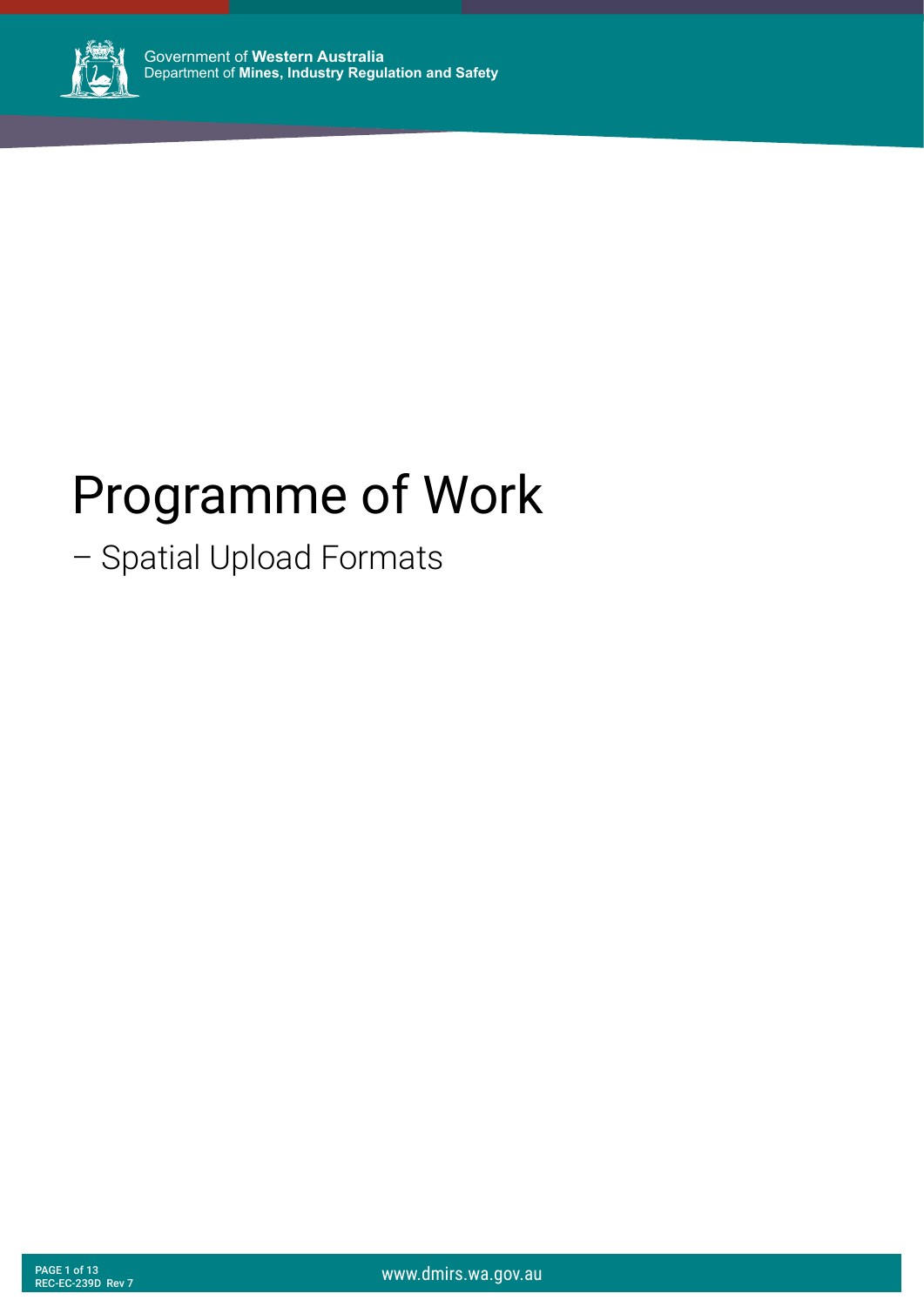

# Programme of Work

## – Spatial Upload Formats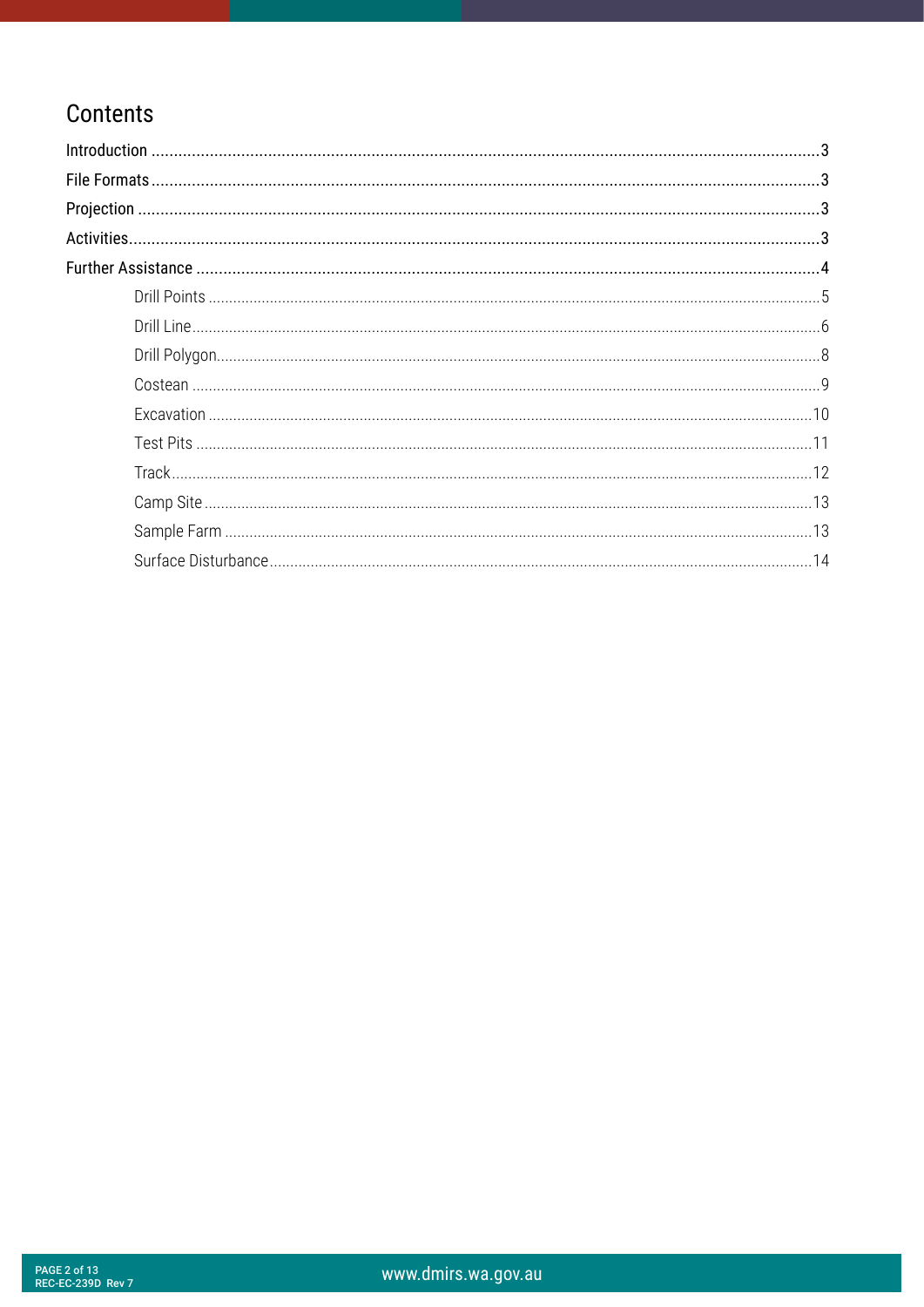#### Contents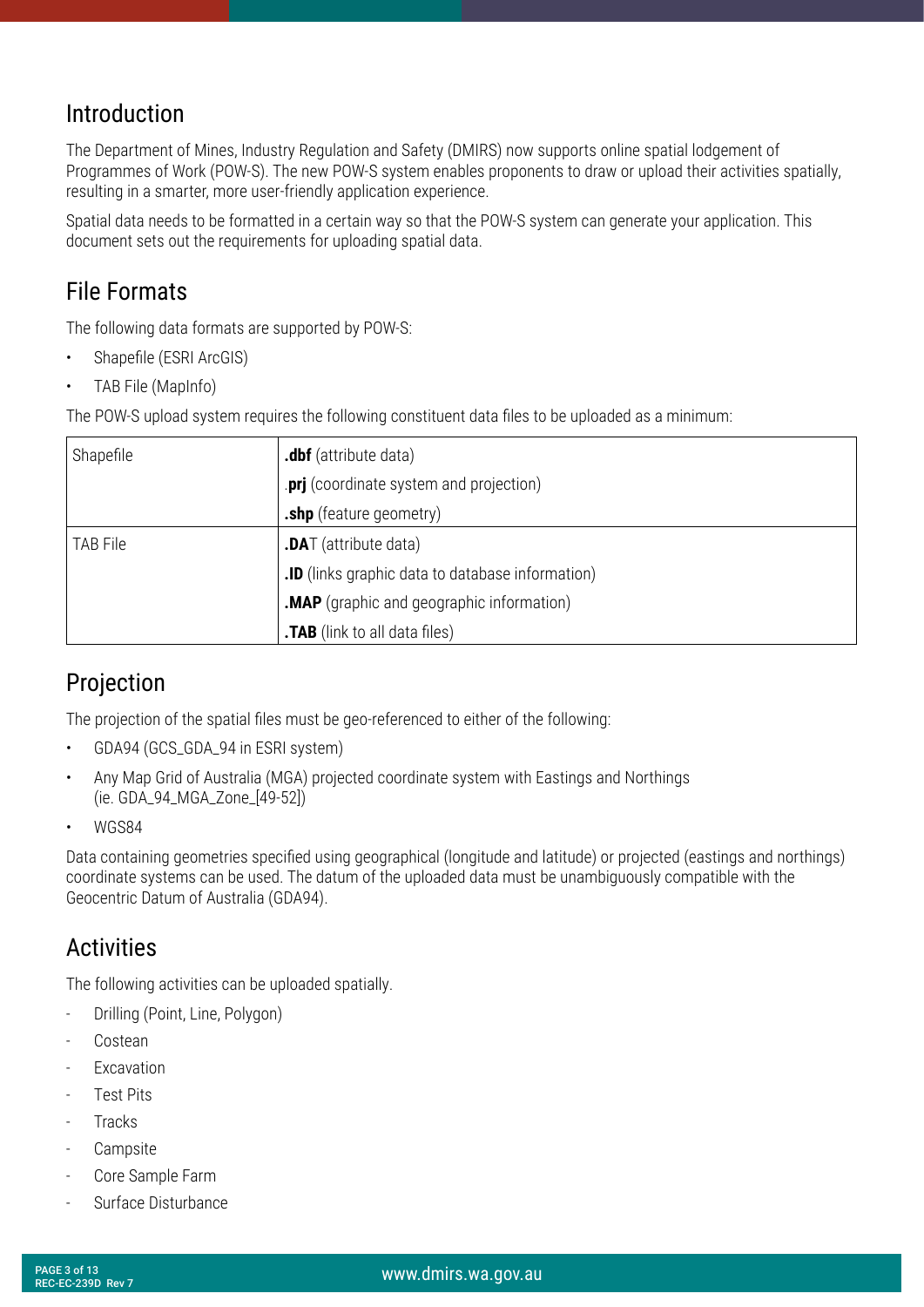#### <span id="page-2-0"></span>Introduction

The Department of Mines, Industry Regulation and Safety (DMIRS) now supports online spatial lodgement of Programmes of Work (POW-S). The new POW-S system enables proponents to draw or upload their activities spatially, resulting in a smarter, more user-friendly application experience.

Spatial data needs to be formatted in a certain way so that the POW-S system can generate your application. This document sets out the requirements for uploading spatial data.

#### File Formats

The following data formats are supported by POW-S:

- Shapefile (ESRI ArcGIS)
- TAB File (MapInfo)

The POW-S upload system requires the following constituent data files to be uploaded as a minimum:

| Shapefile | .dbf (attribute data)                            |  |  |
|-----------|--------------------------------------------------|--|--|
|           | .prj (coordinate system and projection)          |  |  |
|           | .shp (feature geometry)                          |  |  |
| TAB File  | <b>.DAT</b> (attribute data)                     |  |  |
|           | .ID (links graphic data to database information) |  |  |
|           | .MAP (graphic and geographic information)        |  |  |
|           | .TAB (link to all data files)                    |  |  |

#### Projection

The projection of the spatial files must be geo-referenced to either of the following:

- GDA94 (GCS\_GDA\_94 in ESRI system)
- Any Map Grid of Australia (MGA) projected coordinate system with Eastings and Northings (ie. GDA\_94\_MGA\_Zone\_[49-52])
- WGS84

Data containing geometries specified using geographical (longitude and latitude) or projected (eastings and northings) coordinate systems can be used. The datum of the uploaded data must be unambiguously compatible with the Geocentric Datum of Australia (GDA94).

#### **Activities**

The following activities can be uploaded spatially.

- Drilling (Point, Line, Polygon)
- **Costean**
- **Excavation**
- **Test Pits**
- **Tracks**
- **Campsite**
- Core Sample Farm
- Surface Disturbance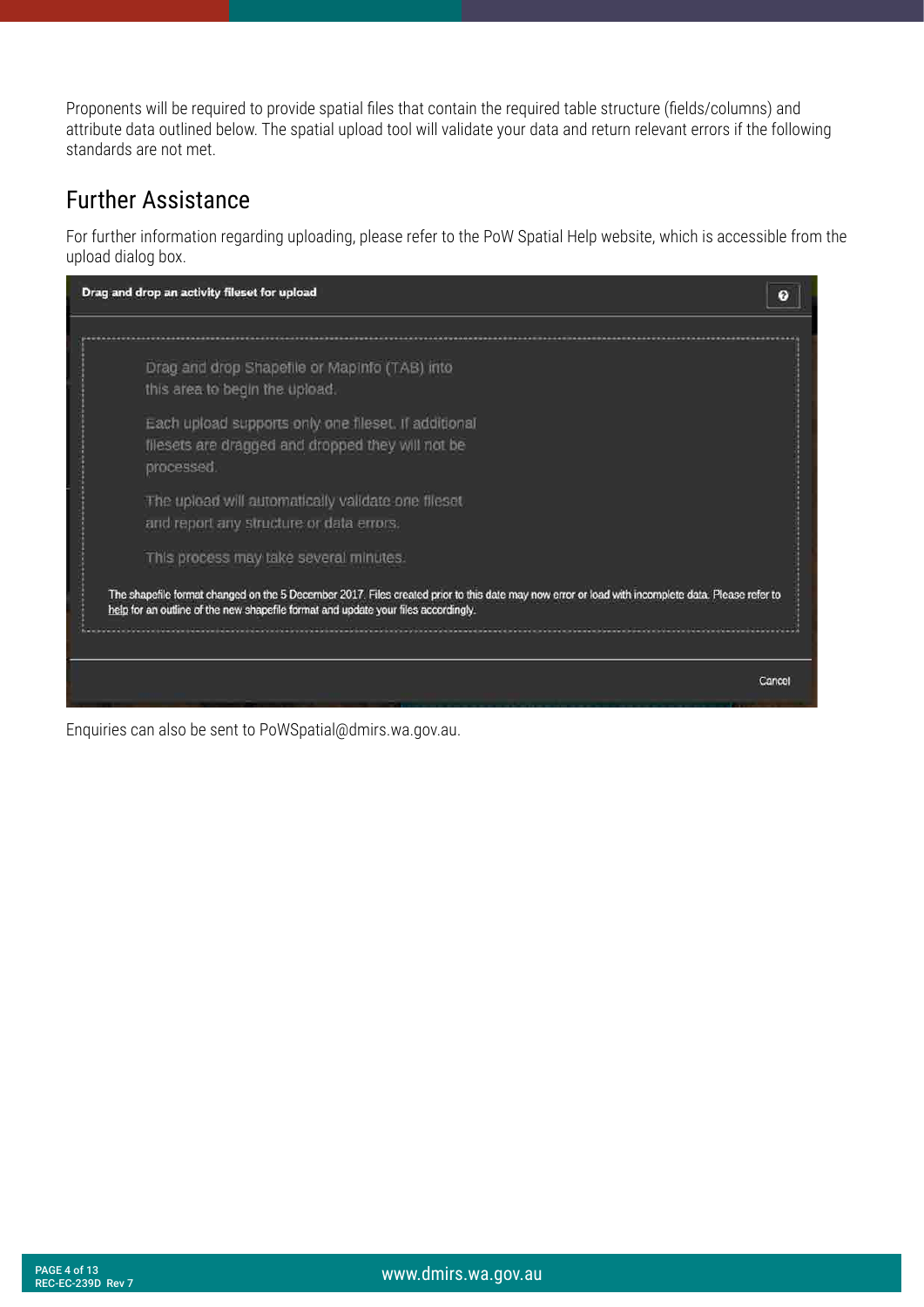<span id="page-3-0"></span>Proponents will be required to provide spatial files that contain the required table structure (fields/columns) and attribute data outlined below. The spatial upload tool will validate your data and return relevant errors if the following standards are not met.

#### Further Assistance

For further information regarding uploading, please refer to the PoW Spatial Help website, which is accessible from the upload dialog box.



Enquiries can also be sent to PoWSpatial@dmirs.wa.gov.au.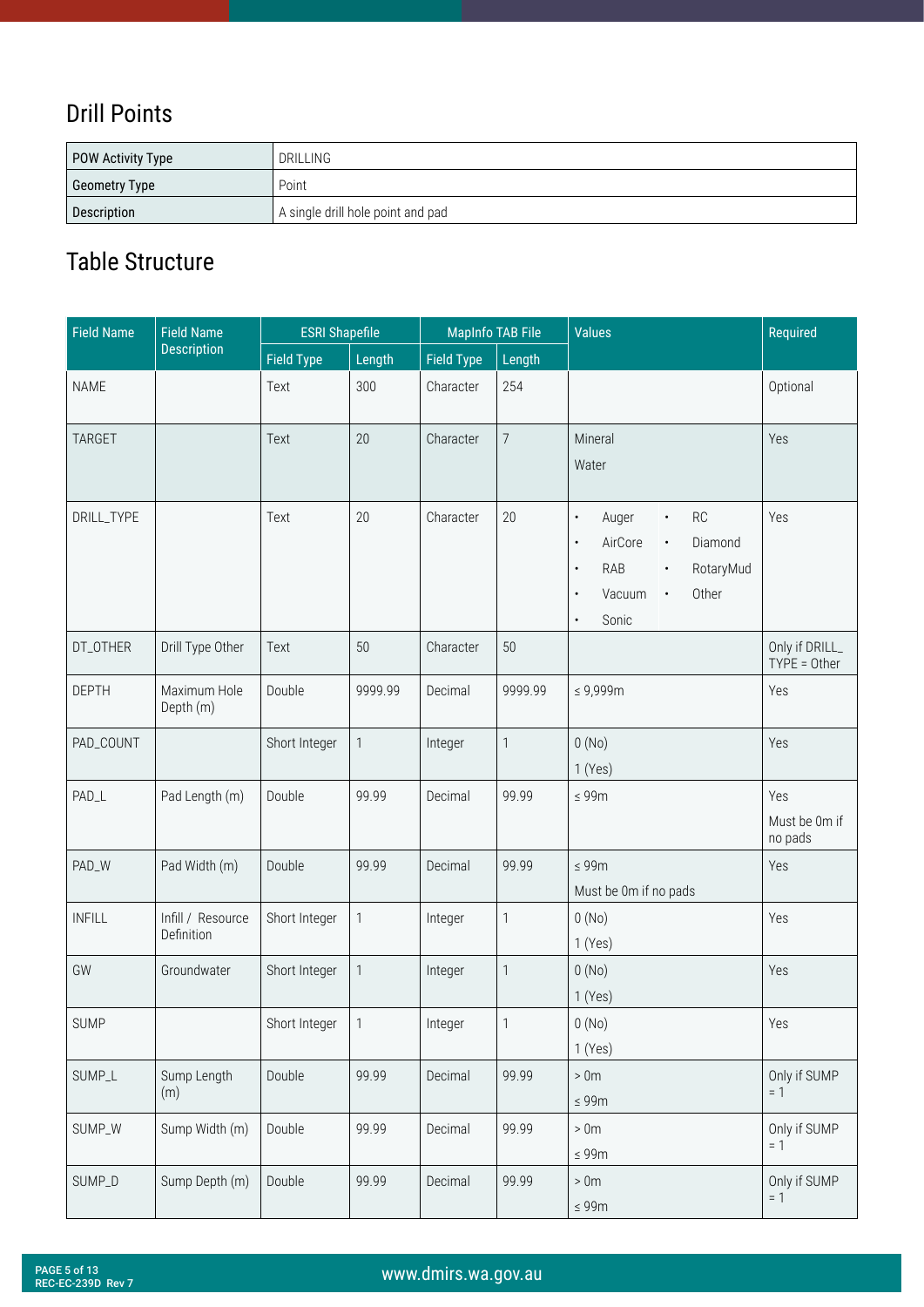#### <span id="page-4-0"></span>Drill Points

| POW Activity Type | DRILLING                          |
|-------------------|-----------------------------------|
| Geometry Type     | Point                             |
| Description       | A single drill hole point and pad |

| <b>Field Name</b> | <b>Field Name</b>               | <b>ESRI Shapefile</b> |              | <b>MapInfo TAB File</b> |                           | <b>Values</b>                                                                                                                                                                                                 | Required                        |
|-------------------|---------------------------------|-----------------------|--------------|-------------------------|---------------------------|---------------------------------------------------------------------------------------------------------------------------------------------------------------------------------------------------------------|---------------------------------|
|                   | <b>Description</b>              | <b>Field Type</b>     | Length       | <b>Field Type</b>       | Length                    |                                                                                                                                                                                                               |                                 |
| <b>NAME</b>       |                                 | Text                  | 300          | Character               | 254                       |                                                                                                                                                                                                               | Optional                        |
| <b>TARGET</b>     |                                 | Text                  | 20           | Character               | $\overline{7}$            | Mineral<br>Water                                                                                                                                                                                              | Yes                             |
| DRILL_TYPE        |                                 | Text                  | 20           | Character               | 20                        | RC<br>$\bullet$<br>Auger<br>$\bullet$<br>AirCore<br>Diamond<br>$\bullet$<br>$\bullet$<br><b>RAB</b><br>RotaryMud<br>$\bullet$<br>$\bullet$<br>Other<br>Vacuum<br>$\bullet$<br>$\bullet$<br>Sonic<br>$\bullet$ | Yes                             |
| DT_OTHER          | Drill Type Other                | Text                  | 50           | Character               | 50                        |                                                                                                                                                                                                               | Only if DRILL_<br>TYPE = Other  |
| <b>DEPTH</b>      | Maximum Hole<br>Depth (m)       | Double                | 9999.99      | Decimal                 | 9999.99                   | $\leq 9,999$ m                                                                                                                                                                                                | Yes                             |
| PAD_COUNT         |                                 | Short Integer         | $\mathbf{1}$ | Integer                 | $\mathbf{1}$              | 0(No)<br>1(Yes)                                                                                                                                                                                               | Yes                             |
| PAD_L             | Pad Length (m)                  | Double                | 99.99        | Decimal                 | 99.99                     | $\leq 99m$                                                                                                                                                                                                    | Yes<br>Must be 0m if<br>no pads |
| PAD_W             | Pad Width (m)                   | Double                | 99.99        | Decimal                 | 99.99                     | $\leq 99m$<br>Must be 0m if no pads                                                                                                                                                                           | Yes                             |
| <b>INFILL</b>     | Infill / Resource<br>Definition | Short Integer         | 1            | Integer                 | $\mathbf{1}$              | 0(No)<br>1(Yes)                                                                                                                                                                                               | Yes                             |
| GW                | Groundwater                     | Short Integer         | 1            | Integer                 | $\mathbf{1}$              | 0(No)<br>1(Yes)                                                                                                                                                                                               | Yes                             |
| <b>SUMP</b>       |                                 | Short Integer         | 1            | Integer                 | $\ensuremath{\mathsf{1}}$ | 0(No)<br>1(Yes)                                                                                                                                                                                               | Yes                             |
| SUMP_L            | Sump Length<br>(m)              | Double                | 99.99        | Decimal                 | 99.99                     | $>0\mathrm{m}$<br>$\leq 99m$                                                                                                                                                                                  | Only if SUMP<br>$= 1$           |
| SUMP_W            | Sump Width (m)                  | Double                | 99.99        | Decimal                 | 99.99                     | $>0\mathrm{m}$<br>$\leq 99m$                                                                                                                                                                                  | Only if SUMP<br>$= 1$           |
| SUMP_D            | Sump Depth (m)                  | Double                | 99.99        | Decimal                 | 99.99                     | >0 <sub>m</sub><br>$\leq 99m$                                                                                                                                                                                 | Only if SUMP<br>$= 1$           |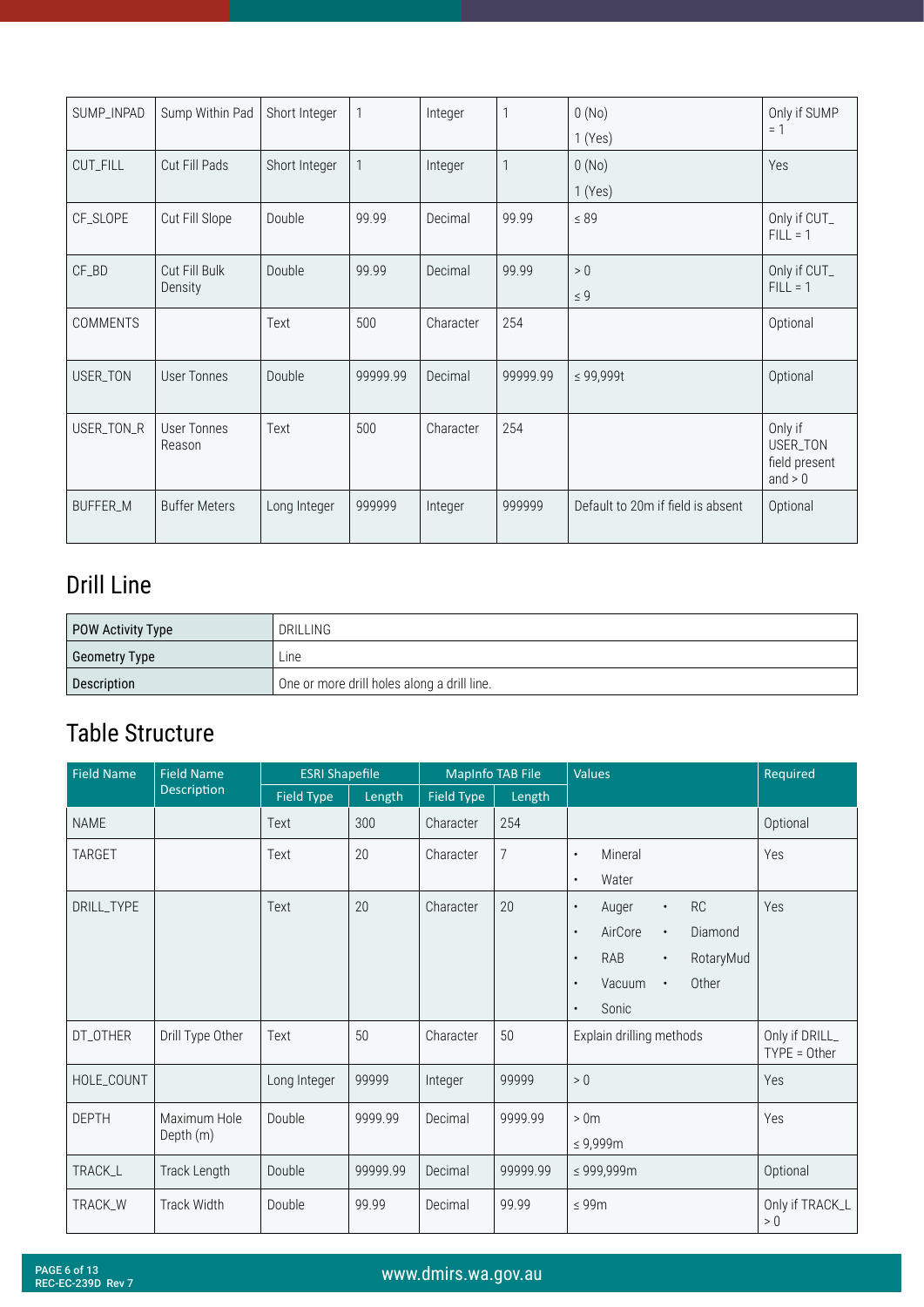<span id="page-5-0"></span>

| SUMP_INPAD      | Sump Within Pad          | Short Integer | 1        | Integer   |          | 0(No)<br>1(Yes)                   | Only if SUMP<br>$= 1$                             |
|-----------------|--------------------------|---------------|----------|-----------|----------|-----------------------------------|---------------------------------------------------|
| CUT_FILL        | Cut Fill Pads            | Short Integer |          | Integer   |          | 0(No)<br>1(Yes)                   | Yes                                               |
| CF_SLOPE        | Cut Fill Slope           | Double        | 99.99    | Decimal   | 99.99    | $\leq 89$                         | Only if CUT_<br>$FILL = 1$                        |
| CF_BD           | Cut Fill Bulk<br>Density | Double        | 99.99    | Decimal   | 99.99    | > 0<br>$\leq 9$                   | Only if CUT_<br>$FILL = 1$                        |
| <b>COMMENTS</b> |                          | Text          | 500      | Character | 254      |                                   | Optional                                          |
| USER_TON        | User Tonnes              | Double        | 99999.99 | Decimal   | 99999.99 | ≤ 99,999t                         | Optional                                          |
| USER_TON_R      | User Tonnes<br>Reason    | Text          | 500      | Character | 254      |                                   | Only if<br>USER_TON<br>field present<br>and $> 0$ |
| BUFFER_M        | <b>Buffer Meters</b>     | Long Integer  | 999999   | Integer   | 999999   | Default to 20m if field is absent | Optional                                          |

#### Drill Line

| POW Activity Type | <b>DRILLING</b>                             |
|-------------------|---------------------------------------------|
| Geometry Type     | ∟ine⊹                                       |
| Description       | One or more drill holes along a drill line. |

| <b>Field Name</b> | <b>Field Name</b>         | <b>ESRI Shapefile</b> |          | <b>MapInfo TAB File</b> |                | Values                                                                                                                                                                                                 | Required                         |
|-------------------|---------------------------|-----------------------|----------|-------------------------|----------------|--------------------------------------------------------------------------------------------------------------------------------------------------------------------------------------------------------|----------------------------------|
|                   | Description               | Field Type            | Length   | Field Type              | Length         |                                                                                                                                                                                                        |                                  |
| <b>NAME</b>       |                           | Text                  | 300      | Character               | 254            |                                                                                                                                                                                                        | Optional                         |
| TARGET            |                           | Text                  | 20       | Character               | $\overline{7}$ | Mineral<br>$\bullet$<br>Water<br>$\bullet$                                                                                                                                                             | Yes                              |
| DRILL_TYPE        |                           | Text                  | 20       | Character               | 20             | RC<br>Auger<br>$\bullet$<br>$\bullet$<br>AirCore<br>Diamond<br>$\bullet$<br>$\bullet$<br>RAB<br>RotaryMud<br>$\bullet$<br>$\bullet$<br>Other<br>Vacuum<br>$\bullet$<br>$\bullet$<br>Sonic<br>$\bullet$ | Yes                              |
| DT_OTHER          | Drill Type Other          | Text                  | 50       | Character               | 50             | Explain drilling methods                                                                                                                                                                               | Only if DRILL_<br>$TYPE = Other$ |
| HOLE_COUNT        |                           | Long Integer          | 99999    | Integer                 | 99999          | > 0                                                                                                                                                                                                    | <b>Yes</b>                       |
| <b>DEPTH</b>      | Maximum Hole<br>Depth (m) | Double                | 9999.99  | Decimal                 | 9999.99        | >0 <sub>m</sub><br>$\leq 9,999$ m                                                                                                                                                                      | Yes                              |
| TRACK_L           | Track Length              | Double                | 99999.99 | Decimal                 | 99999.99       | ≤ 999,999m                                                                                                                                                                                             | Optional                         |
| TRACK_W           | Track Width               | Double                | 99.99    | Decimal                 | 99.99          | $\leq 99m$                                                                                                                                                                                             | Only if TRACK_L<br>$>0$          |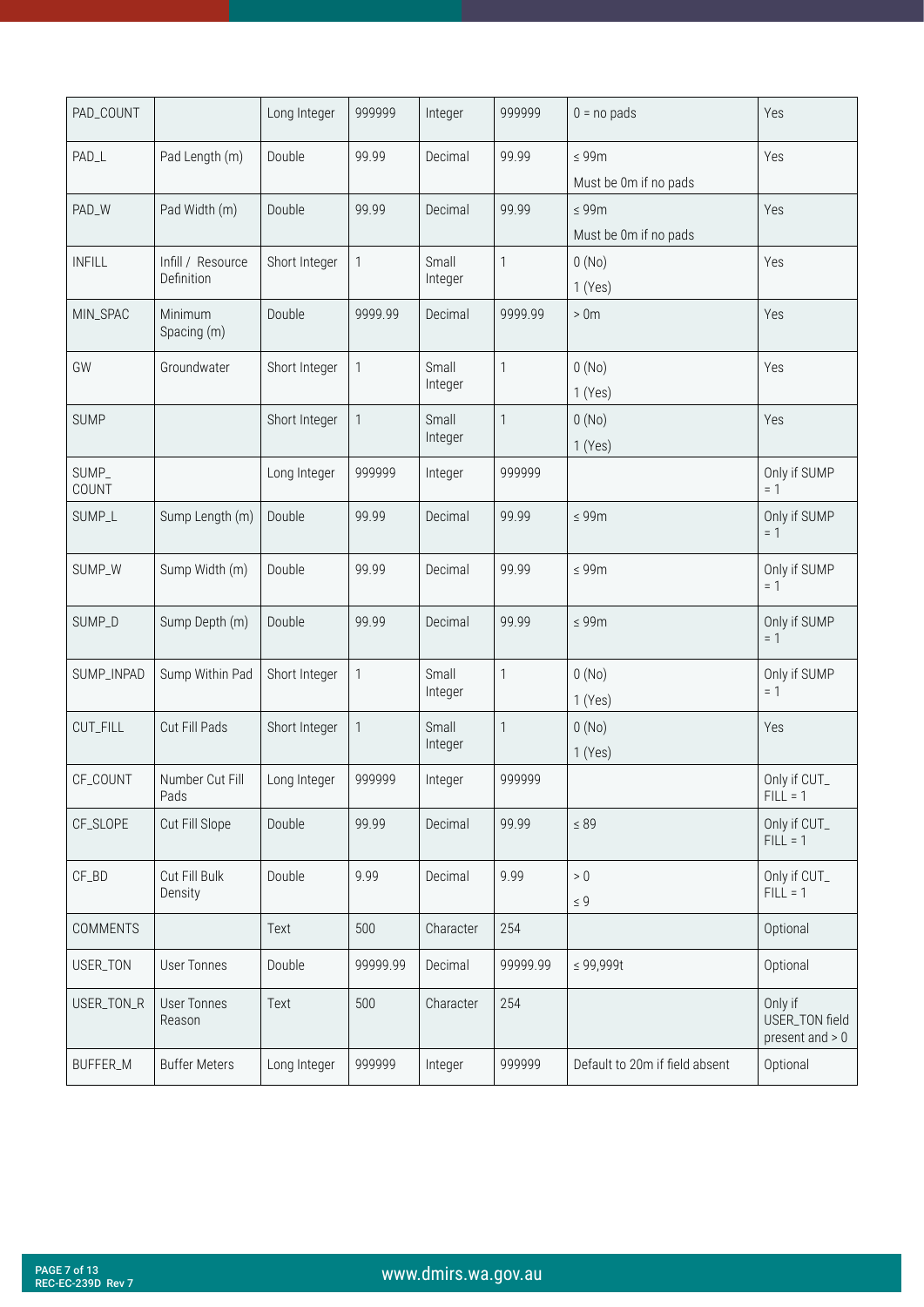| PAD_COUNT       |                                 | Long Integer  | 999999       | Integer          | 999999   | $0 = no$ pads                       | Yes                                            |
|-----------------|---------------------------------|---------------|--------------|------------------|----------|-------------------------------------|------------------------------------------------|
| PAD_L           | Pad Length (m)                  | Double        | 99.99        | Decimal          | 99.99    | $\leq 99m$<br>Must be 0m if no pads | Yes                                            |
| PAD_W           | Pad Width (m)                   | Double        | 99.99        | Decimal          | 99.99    | $\leq 99m$<br>Must be 0m if no pads | Yes                                            |
| <b>INFILL</b>   | Infill / Resource<br>Definition | Short Integer | $\mathbf{1}$ | Small<br>Integer | 1        | 0(No)<br>1(Yes)                     | Yes                                            |
| MIN_SPAC        | Minimum<br>Spacing (m)          | Double        | 9999.99      | Decimal          | 9999.99  | >0 <sub>m</sub>                     | Yes                                            |
| GW              | Groundwater                     | Short Integer | 1            | Small<br>Integer | 1        | 0(No)<br>1(Yes)                     | Yes                                            |
| <b>SUMP</b>     |                                 | Short Integer | $\mathbf{1}$ | Small<br>Integer | 1        | 0(No)<br>1(Yes)                     | Yes                                            |
| SUMP_<br>COUNT  |                                 | Long Integer  | 999999       | Integer          | 999999   |                                     | Only if SUMP<br>$= 1$                          |
| SUMP_L          | Sump Length (m)                 | Double        | 99.99        | Decimal          | 99.99    | $\leq 99m$                          | Only if SUMP<br>$= 1$                          |
| SUMP_W          | Sump Width (m)                  | Double        | 99.99        | Decimal          | 99.99    | $\leq 99m$                          | Only if SUMP<br>$= 1$                          |
| SUMP_D          | Sump Depth (m)                  | Double        | 99.99        | Decimal          | 99.99    | $\leq 99m$                          | Only if SUMP<br>$= 1$                          |
| SUMP_INPAD      | Sump Within Pad                 | Short Integer | 1            | Small<br>Integer | 1        | 0(No)<br>1(Yes)                     | Only if SUMP<br>$= 1$                          |
| CUT_FILL        | Cut Fill Pads                   | Short Integer | $\mathbf{1}$ | Small<br>Integer | 1        | 0(No)<br>1(Yes)                     | Yes                                            |
| CF_COUNT        | Number Cut Fill<br>Pads         | Long Integer  | 999999       | Integer          | 999999   |                                     | Only if CUT_<br>$HLL = 1$                      |
| CF_SLOPE        | Cut Fill Slope                  | Double        | 99.99        | Decimal          | 99.99    | $\leq 89$                           | Only if CUT_<br>$FILL = 1$                     |
| CF_BD           | Cut Fill Bulk<br>Density        | Double        | 9.99         | Decimal          | 9.99     | $>0$<br>$\leq 9$                    | Only if CUT_<br>$FILL = 1$                     |
| <b>COMMENTS</b> |                                 | Text          | 500          | Character        | 254      |                                     | Optional                                       |
| USER_TON        | <b>User Tonnes</b>              | Double        | 99999.99     | Decimal          | 99999.99 | $\leq 99,999$ t                     | Optional                                       |
| USER_TON_R      | <b>User Tonnes</b><br>Reason    | Text          | 500          | Character        | 254      |                                     | Only if<br>USER_TON field<br>present and $> 0$ |
| BUFFER_M        | <b>Buffer Meters</b>            | Long Integer  | 999999       | Integer          | 999999   | Default to 20m if field absent      | Optional                                       |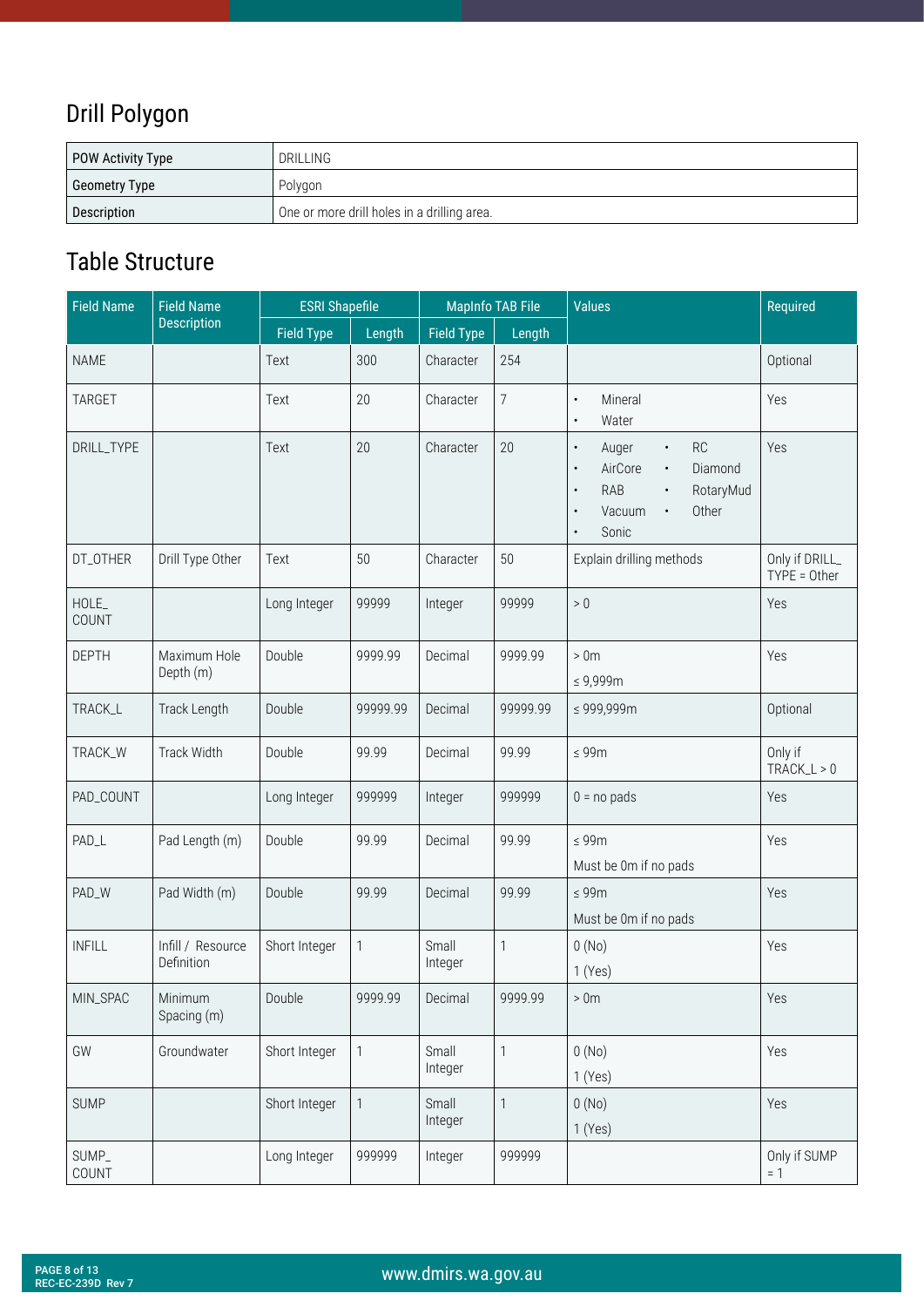## <span id="page-7-0"></span>Drill Polygon

| POW Activity Type | <b>DRILLING</b>                             |
|-------------------|---------------------------------------------|
| Geometry Type     | Polygon                                     |
| Description       | One or more drill holes in a drilling area. |

| <b>Field Name</b> | <b>Field Name</b>               |                   | <b>ESRI Shapefile</b><br><b>MapInfo TAB File</b> |                   | <b>Values</b>  | Required                                                                                                                                                                                                             |                                  |
|-------------------|---------------------------------|-------------------|--------------------------------------------------|-------------------|----------------|----------------------------------------------------------------------------------------------------------------------------------------------------------------------------------------------------------------------|----------------------------------|
|                   | <b>Description</b>              | <b>Field Type</b> | Length                                           | <b>Field Type</b> | Length         |                                                                                                                                                                                                                      |                                  |
| <b>NAME</b>       |                                 | Text              | 300                                              | Character         | 254            |                                                                                                                                                                                                                      | Optional                         |
| <b>TARGET</b>     |                                 | Text              | 20                                               | Character         | $\overline{7}$ | Mineral<br>$\bullet$<br>Water<br>$\bullet$                                                                                                                                                                           | Yes                              |
| DRILL_TYPE        |                                 | Text              | 20                                               | Character         | 20             | <b>RC</b><br>Auger<br>$\bullet$<br>$\bullet$<br>AirCore<br>Diamond<br>$\bullet$<br>$\bullet$<br><b>RAB</b><br>RotaryMud<br>$\bullet$<br>$\bullet$<br>Vacuum<br>Other<br>$\bullet$<br>$\bullet$<br>Sonic<br>$\bullet$ | Yes                              |
| DT_OTHER          | Drill Type Other                | Text              | 50                                               | Character         | 50             | Explain drilling methods                                                                                                                                                                                             | Only if DRILL_<br>$TYPE = Other$ |
| HOLE_<br>COUNT    |                                 | Long Integer      | 99999                                            | Integer           | 99999          | $> 0$                                                                                                                                                                                                                | Yes                              |
| <b>DEPTH</b>      | Maximum Hole<br>Depth (m)       | Double            | 9999.99                                          | Decimal           | 9999.99        | >0 <sub>m</sub><br>$\leq 9,999$ m                                                                                                                                                                                    | Yes                              |
| TRACK_L           | Track Length                    | Double            | 99999.99                                         | Decimal           | 99999.99       | ≤ 999,999m                                                                                                                                                                                                           | Optional                         |
| TRACK_W           | <b>Track Width</b>              | Double            | 99.99                                            | Decimal           | 99.99          | $\leq 99m$                                                                                                                                                                                                           | Only if<br>$TRACK_L > 0$         |
| PAD_COUNT         |                                 | Long Integer      | 999999                                           | Integer           | 999999         | $0 = no$ pads                                                                                                                                                                                                        | Yes                              |
| PAD_L             | Pad Length (m)                  | Double            | 99.99                                            | Decimal           | 99.99          | $\leq 99m$<br>Must be 0m if no pads                                                                                                                                                                                  | Yes                              |
| PAD_W             | Pad Width (m)                   | Double            | 99.99                                            | Decimal           | 99.99          | $\leq 99m$<br>Must be 0m if no pads                                                                                                                                                                                  | Yes                              |
| <b>INFILL</b>     | Infill / Resource<br>Definition | Short Integer     | $\mathbf{1}$                                     | Small<br>Integer  | $\mathbf{1}$   | 0(No)<br>1(Yes)                                                                                                                                                                                                      | Yes                              |
| MIN_SPAC          | Minimum<br>Spacing (m)          | Double            | 9999.99                                          | Decimal           | 9999.99        | $>0m$                                                                                                                                                                                                                | Yes                              |
| GW                | Groundwater                     | Short Integer     | $\mathbf{1}$                                     | Small<br>Integer  | $\mathbf{1}$   | 0(No)<br>1(Yes)                                                                                                                                                                                                      | Yes                              |
| <b>SUMP</b>       |                                 | Short Integer     | $\mathbf{1}$                                     | Small<br>Integer  | $\mathbf{1}$   | 0(No)<br>1(Yes)                                                                                                                                                                                                      | Yes                              |
| SUMP_<br>COUNT    |                                 | Long Integer      | 999999                                           | Integer           | 999999         |                                                                                                                                                                                                                      | Only if SUMP<br>$= 1$            |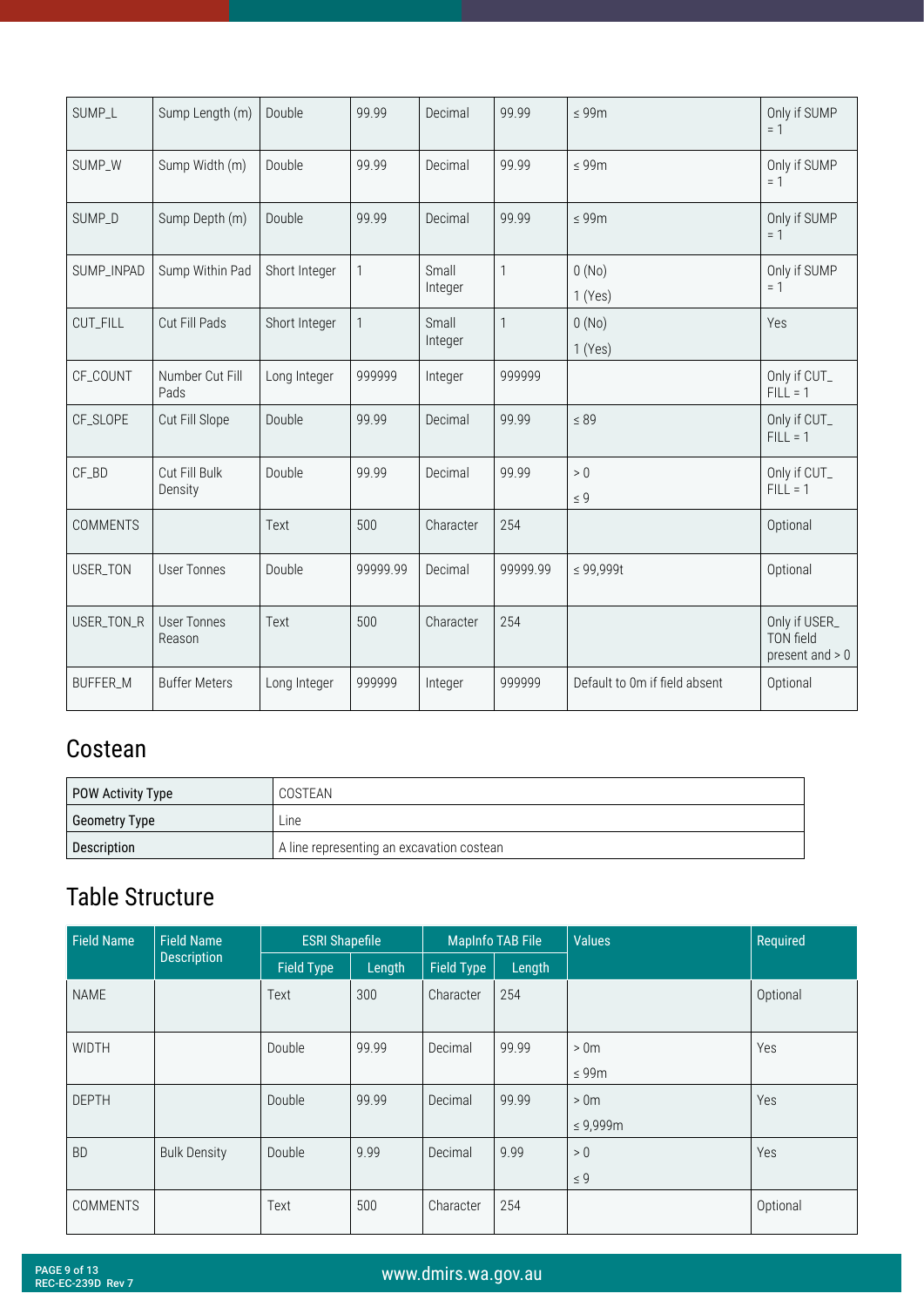<span id="page-8-0"></span>

| SUMP_L          | Sump Length (m)              | Double        | 99.99        | Decimal          | 99.99        | $\leq 99m$                    | Only if SUMP<br>$= 1$                           |
|-----------------|------------------------------|---------------|--------------|------------------|--------------|-------------------------------|-------------------------------------------------|
| SUMP_W          | Sump Width (m)               | Double        | 99.99        | Decimal          | 99.99        | $\leq 99m$                    | Only if SUMP<br>$= 1$                           |
| SUMP_D          | Sump Depth (m)               | Double        | 99.99        | Decimal          | 99.99        | $\leq 99m$                    | Only if SUMP<br>$= 1$                           |
| SUMP_INPAD      | Sump Within Pad              | Short Integer | 1            | Small<br>Integer | $\mathbf{1}$ | 0(No)<br>1(Yes)               | Only if SUMP<br>$= 1$                           |
| CUT_FILL        | Cut Fill Pads                | Short Integer | $\mathbf{1}$ | Small<br>Integer | $\mathbf{1}$ | 0(No)<br>1(Yes)               | Yes                                             |
| CF_COUNT        | Number Cut Fill<br>Pads      | Long Integer  | 999999       | Integer          | 999999       |                               | Only if CUT_<br>$FILL = 1$                      |
| CF_SLOPE        | Cut Fill Slope               | Double        | 99.99        | Decimal          | 99.99        | $\leq 89$                     | Only if CUT_<br>$FILL = 1$                      |
| CF_BD           | Cut Fill Bulk<br>Density     | Double        | 99.99        | Decimal          | 99.99        | $>0$<br>$\leq 9$              | Only if CUT_<br>$FILL = 1$                      |
| <b>COMMENTS</b> |                              | Text          | 500          | Character        | 254          |                               | Optional                                        |
| USER_TON        | <b>User Tonnes</b>           | Double        | 99999.99     | Decimal          | 99999.99     | $\leq 99,999t$                | Optional                                        |
| USER_TON_R      | <b>User Tonnes</b><br>Reason | Text          | 500          | Character        | 254          |                               | Only if USER_<br>TON field<br>present and $> 0$ |
| <b>BUFFER_M</b> | <b>Buffer Meters</b>         | Long Integer  | 999999       | Integer          | 999999       | Default to 0m if field absent | Optional                                        |

## Costean

| POW Activity Type | COSTEAN                                   |
|-------------------|-------------------------------------------|
| Geometry Type     | ∟ine                                      |
| Description       | A line representing an excavation costean |

| <b>Field Name</b> | <b>Field Name</b>   | <b>ESRI Shapefile</b> |        | <b>MapInfo TAB File</b> |        | <b>Values</b>                     | Required   |
|-------------------|---------------------|-----------------------|--------|-------------------------|--------|-----------------------------------|------------|
|                   | <b>Description</b>  | <b>Field Type</b>     | Length | <b>Field Type</b>       | Length |                                   |            |
| <b>NAME</b>       |                     | Text                  | 300    | Character               | 254    |                                   | Optional   |
| <b>WIDTH</b>      |                     | Double                | 99.99  | Decimal                 | 99.99  | >0 <sub>m</sub><br>$\leq 99m$     | Yes        |
| <b>DEPTH</b>      |                     | Double                | 99.99  | Decimal                 | 99.99  | >0 <sub>m</sub><br>$\leq 9,999$ m | Yes        |
| <b>BD</b>         | <b>Bulk Density</b> | Double                | 9.99   | Decimal                 | 9.99   | > 0<br>$\leq 9$                   | <b>Yes</b> |
| <b>COMMENTS</b>   |                     | Text                  | 500    | Character               | 254    |                                   | Optional   |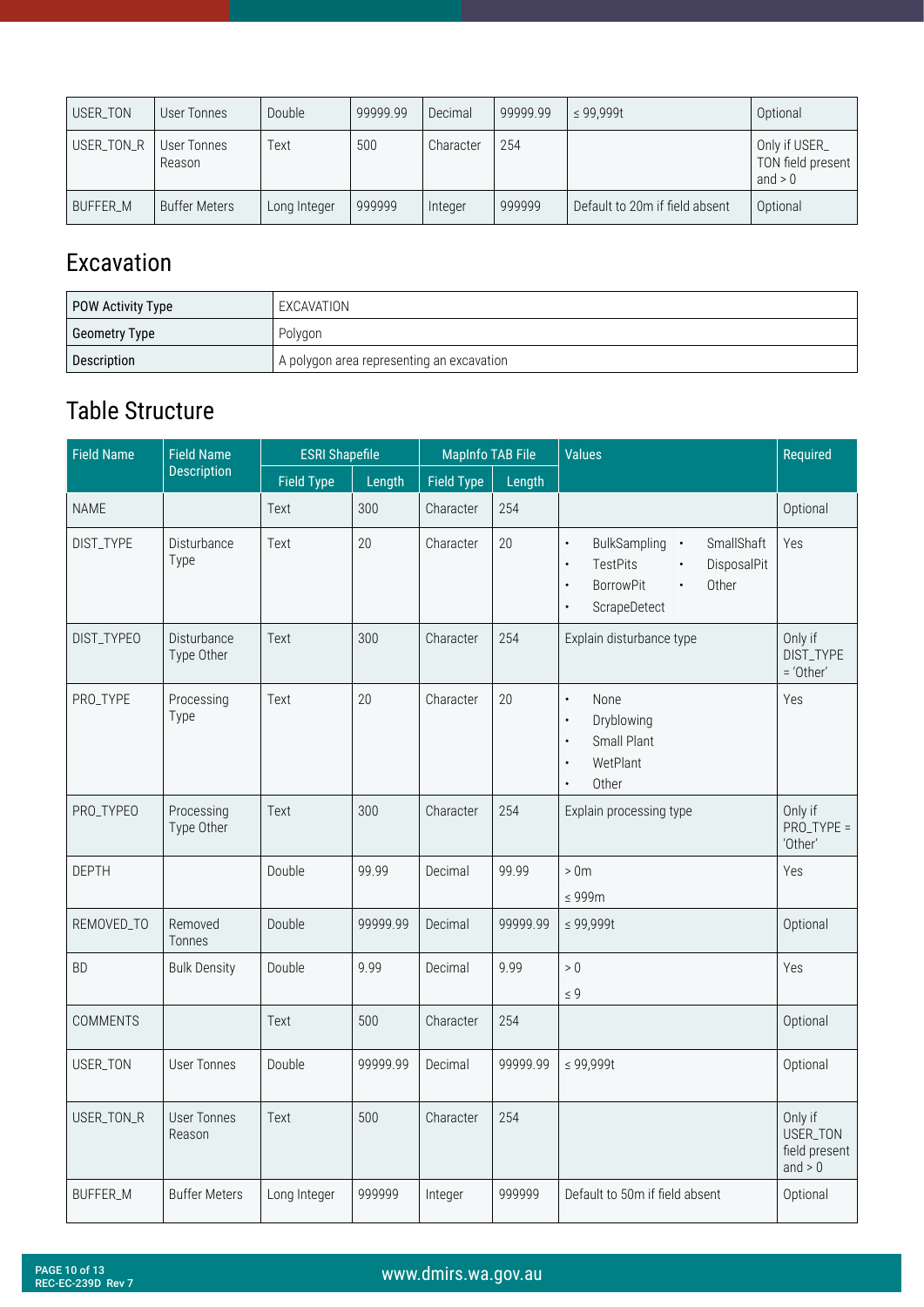<span id="page-9-0"></span>

| USER TON   | User Tonnes           | Double       | 99999.99 | Decimal   | 99999.99 | $\leq$ 99.999t                 | Optional                                        |
|------------|-----------------------|--------------|----------|-----------|----------|--------------------------------|-------------------------------------------------|
| USER_TON_R | User Tonnes<br>Reason | Text         | 500      | Character | 254      |                                | Only if USER_<br>TON field present<br>and $> 0$ |
| BUFFER M   | <b>Buffer Meters</b>  | Long Integer | 999999   | Integer   | 999999   | Default to 20m if field absent | Optional                                        |

#### Excavation

| POW Activity Type | EXCAVATION                                |
|-------------------|-------------------------------------------|
| Geometry Type     | Polygon                                   |
| Description       | A polygon area representing an excavation |

| <b>Field Name</b> | <b>Field Name</b>            |                   | <b>ESRI Shapefile</b> |                   | <b>MapInfo TAB File</b> | <b>Values</b>                                                                                                                                                                             | Required                                          |
|-------------------|------------------------------|-------------------|-----------------------|-------------------|-------------------------|-------------------------------------------------------------------------------------------------------------------------------------------------------------------------------------------|---------------------------------------------------|
|                   | <b>Description</b>           | <b>Field Type</b> | Length                | <b>Field Type</b> | Length                  |                                                                                                                                                                                           |                                                   |
| <b>NAME</b>       |                              | Text              | 300                   | Character         | 254                     |                                                                                                                                                                                           | Optional                                          |
| DIST_TYPE         | Disturbance<br>Type          | Text              | 20                    | Character         | 20                      | SmallShaft<br>BulkSampling .<br>$\bullet$<br><b>TestPits</b><br>DisposalPit<br>$\bullet$<br>$\bullet$<br><b>BorrowPit</b><br>Other<br>$\bullet$<br>$\bullet$<br>ScrapeDetect<br>$\bullet$ | Yes                                               |
| DIST_TYPEO        | Disturbance<br>Type Other    | Text              | 300                   | Character         | 254                     | Explain disturbance type                                                                                                                                                                  | Only if<br>DIST_TYPE<br>= 'Other'                 |
| PRO_TYPE          | Processing<br>Type           | Text              | 20                    | Character         | 20                      | None<br>$\bullet$<br>Dryblowing<br>$\bullet$<br>Small Plant<br>$\bullet$<br>WetPlant<br>$\bullet$<br>Other                                                                                | Yes                                               |
| PRO_TYPEO         | Processing<br>Type Other     | Text              | 300                   | Character         | 254                     | Explain processing type                                                                                                                                                                   | Only if<br>$PRO$ _TYPE =<br>'Other'               |
| <b>DEPTH</b>      |                              | Double            | 99.99                 | Decimal           | 99.99                   | >0 <sub>m</sub><br>$\leq 999m$                                                                                                                                                            | Yes                                               |
| REMOVED_TO        | Removed<br>Tonnes            | Double            | 99999.99              | Decimal           | 99999.99                | $\leq 99,999t$                                                                                                                                                                            | Optional                                          |
| <b>BD</b>         | <b>Bulk Density</b>          | Double            | 9.99                  | Decimal           | 9.99                    | $> 0$                                                                                                                                                                                     | Yes                                               |
|                   |                              |                   |                       |                   |                         | $\leq 9$                                                                                                                                                                                  |                                                   |
| <b>COMMENTS</b>   |                              | Text              | 500                   | Character         | 254                     |                                                                                                                                                                                           | Optional                                          |
| USER_TON          | <b>User Tonnes</b>           | Double            | 99999.99              | Decimal           | 99999.99                | ≤ 99,999t                                                                                                                                                                                 | Optional                                          |
| USER_TON_R        | <b>User Tonnes</b><br>Reason | Text              | 500                   | Character         | 254                     |                                                                                                                                                                                           | Only if<br>USER_TON<br>field present<br>and $> 0$ |
| <b>BUFFER M</b>   | <b>Buffer Meters</b>         | Long Integer      | 999999                | Integer           | 999999                  | Default to 50m if field absent                                                                                                                                                            | Optional                                          |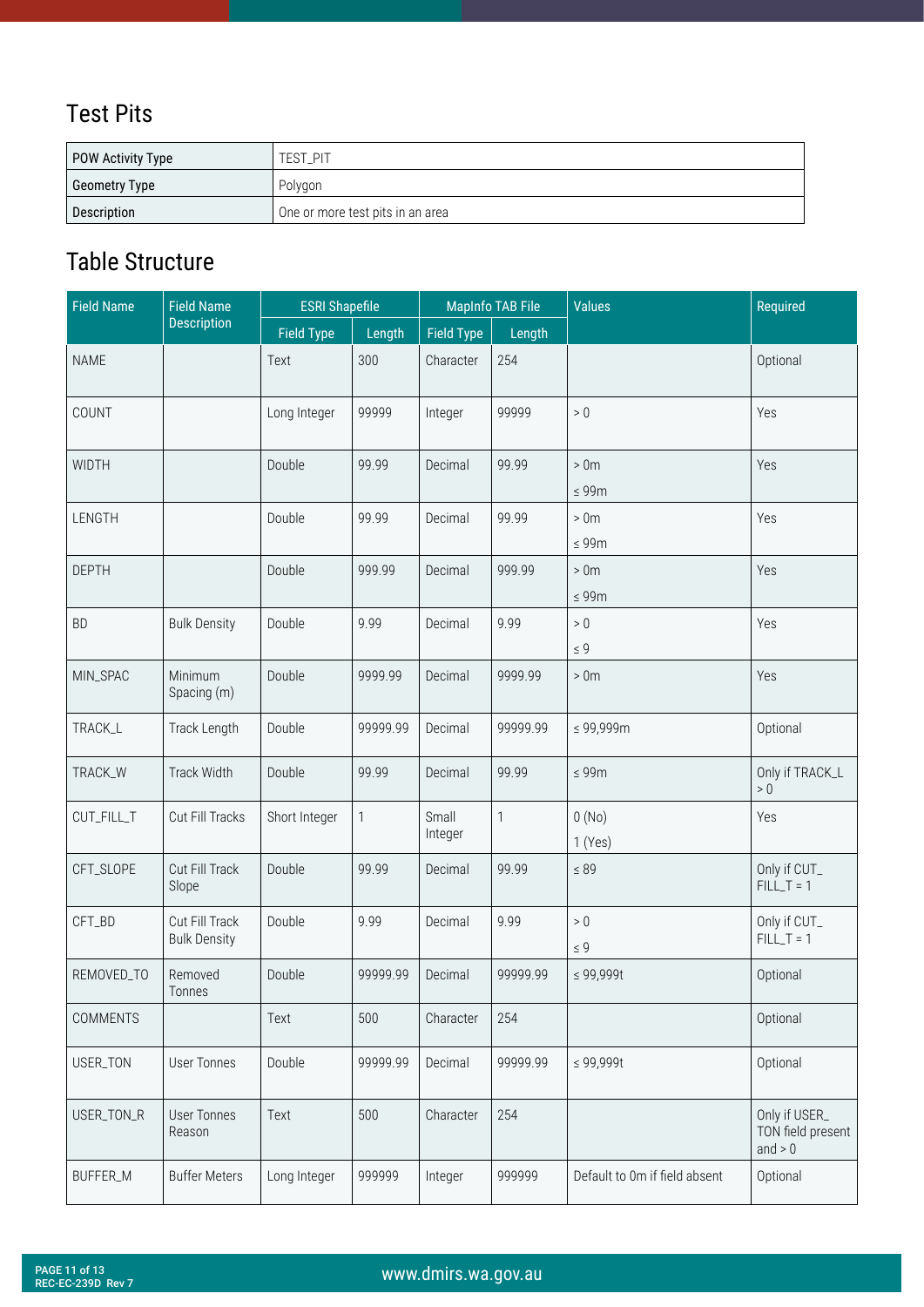## <span id="page-10-0"></span>Test Pits

| POW Activity Type | TEST PIT                         |
|-------------------|----------------------------------|
| Geometry Type     | Polygon                          |
| Description       | One or more test pits in an area |

| <b>Field Name</b> | <b>Field Name</b><br><b>ESRI Shapefile</b> |                   | <b>MapInfo TAB File</b> |                   | <b>Values</b> | Required                      |                                                 |
|-------------------|--------------------------------------------|-------------------|-------------------------|-------------------|---------------|-------------------------------|-------------------------------------------------|
|                   | <b>Description</b>                         | <b>Field Type</b> | Length                  | <b>Field Type</b> | Length        |                               |                                                 |
| <b>NAME</b>       |                                            | Text              | 300                     | Character         | 254           |                               | Optional                                        |
| COUNT             |                                            | Long Integer      | 99999                   | Integer           | 99999         | $>0\,$                        | Yes                                             |
| <b>WIDTH</b>      |                                            | Double            | 99.99                   | Decimal           | 99.99         | >0 <sub>m</sub><br>$\leq 99m$ | Yes                                             |
| LENGTH            |                                            | Double            | 99.99                   | Decimal           | 99.99         | >0 <sub>m</sub><br>$\leq 99m$ | Yes                                             |
| <b>DEPTH</b>      |                                            | Double            | 999.99                  | Decimal           | 999.99        | >0 <sub>m</sub><br>$\leq 99m$ | Yes                                             |
| <b>BD</b>         | <b>Bulk Density</b>                        | Double            | 9.99                    | Decimal           | 9.99          | $>0\,$<br>$\leq 9$            | Yes                                             |
| MIN_SPAC          | Minimum<br>Spacing (m)                     | Double            | 9999.99                 | Decimal           | 9999.99       | >0 <sub>m</sub>               | Yes                                             |
| TRACK_L           | Track Length                               | Double            | 99999.99                | Decimal           | 99999.99      | ≤ 99,999m                     | Optional                                        |
| TRACK_W           | Track Width                                | Double            | 99.99                   | Decimal           | 99.99         | $\leq 99m$                    | Only if TRACK_L<br>$>0$                         |
| CUT_FILL_T        | Cut Fill Tracks                            | Short Integer     | 1                       | Small<br>Integer  | $\mathbf{1}$  | 0(No)<br>1(Yes)               | Yes                                             |
| CFT_SLOPE         | Cut Fill Track<br>Slope                    | Double            | 99.99                   | Decimal           | 99.99         | $\leq 89$                     | Only if CUT_<br>$FILL_T = 1$                    |
| CFT_BD            | Cut Fill Track<br><b>Bulk Density</b>      | Double            | 9.99                    | Decimal           | 9.99          | $>0\,$<br>$\leq 9$            | Only if CUT_<br>$FILL_T = 1$                    |
| REMOVED_TO        | Removed<br>lonnes                          | Double            | 99999.99                | Decimal           | 99999.99      | $\leq 99,999t$                | Optional                                        |
| COMMENTS          |                                            | Text              | 500                     | Character         | 254           |                               | Optional                                        |
| USER_TON          | <b>User Tonnes</b>                         | Double            | 99999.99                | Decimal           | 99999.99      | $\leq 99,999t$                | Optional                                        |
| USER_TON_R        | <b>User Tonnes</b><br>Reason               | Text              | 500                     | Character         | 254           |                               | Only if USER_<br>TON field present<br>and $> 0$ |
| BUFFER_M          | <b>Buffer Meters</b>                       | Long Integer      | 999999                  | Integer           | 999999        | Default to 0m if field absent | Optional                                        |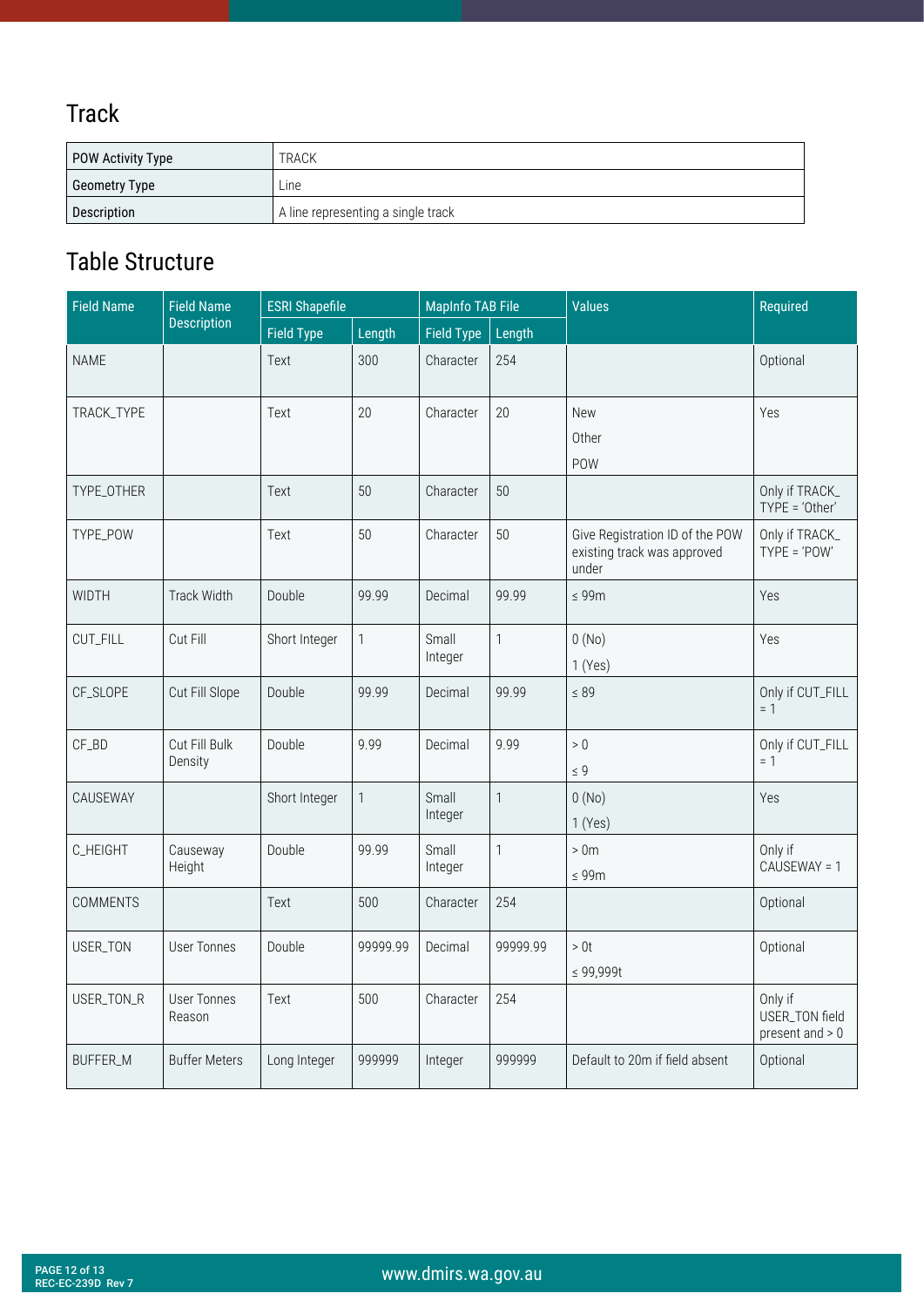#### <span id="page-11-0"></span>Track

| POW Activity Type | <b>TRACK</b>                       |  |  |  |
|-------------------|------------------------------------|--|--|--|
| Geometry Type     | Line                               |  |  |  |
| Description       | A line representing a single track |  |  |  |

| <b>Field Name</b><br><b>Field Name</b> |                          | <b>ESRI Shapefile</b> |              | <b>MapInfo TAB File</b> |                | <b>Values</b>                                                           | Required                                       |
|----------------------------------------|--------------------------|-----------------------|--------------|-------------------------|----------------|-------------------------------------------------------------------------|------------------------------------------------|
|                                        | <b>Description</b>       | Field Type            | Length       | <b>Field Type</b>       | Length         |                                                                         |                                                |
| <b>NAME</b>                            |                          | Text                  | 300          | Character               | 254            |                                                                         | Optional                                       |
| TRACK_TYPE                             |                          | Text                  | 20           | Character               | 20             | <b>New</b><br>Other<br>POW                                              | Yes                                            |
| TYPE_OTHER                             |                          | Text                  | 50           | Character               | 50             |                                                                         | Only if TRACK_<br>TYPE = 'Other'               |
| TYPE_POW                               |                          | Text                  | 50           | Character               | 50             | Give Registration ID of the POW<br>existing track was approved<br>under | Only if TRACK_<br>$TYPE = 'POW'$               |
| WIDTH                                  | Track Width              | Double                | 99.99        | Decimal                 | 99.99          | $\leq 99m$                                                              | Yes                                            |
| CUT_FILL                               | Cut Fill                 | Short Integer         | $\mathbf{1}$ | Small<br>Integer        | $\mathbf{1}$   | 0(No)<br>1(Yes)                                                         | Yes                                            |
| CF_SLOPE                               | Cut Fill Slope           | Double                | 99.99        | Decimal                 | 99.99          | $\leq 89$                                                               | Only if CUT_FILL<br>$= 1$                      |
| CF_BD                                  | Cut Fill Bulk<br>Density | Double                | 9.99         | Decimal                 | 9.99           | $>0$<br>$\leq 9$                                                        | Only if CUT_FILL<br>$= 1$                      |
| CAUSEWAY                               |                          | Short Integer         | $\mathbf{1}$ | Small<br>Integer        | $\overline{1}$ | 0(No)<br>1(Yes)                                                         | Yes                                            |
| C_HEIGHT                               | Causeway<br>Height       | Double                | 99.99        | Small<br>Integer        | $\mathbf{1}$   | >0 <sub>m</sub><br>$\leq 99m$                                           | Only if<br>CAUSEWAY = 1                        |
| <b>COMMENTS</b>                        |                          | Text                  | 500          | Character               | 254            |                                                                         | Optional                                       |
| USER_TON                               | <b>User Tonnes</b>       | Double                | 99999.99     | Decimal                 | 99999.99       | $>0t$<br>$\leq 99,999t$                                                 | Optional                                       |
| USER_TON_R                             | User Tonnes<br>Reason    | Text                  | 500          | Character               | 254            |                                                                         | Only if<br>USER_TON field<br>present and $> 0$ |
| <b>BUFFER_M</b>                        | <b>Buffer Meters</b>     | Long Integer          | 999999       | Integer                 | 999999         | Default to 20m if field absent                                          | Optional                                       |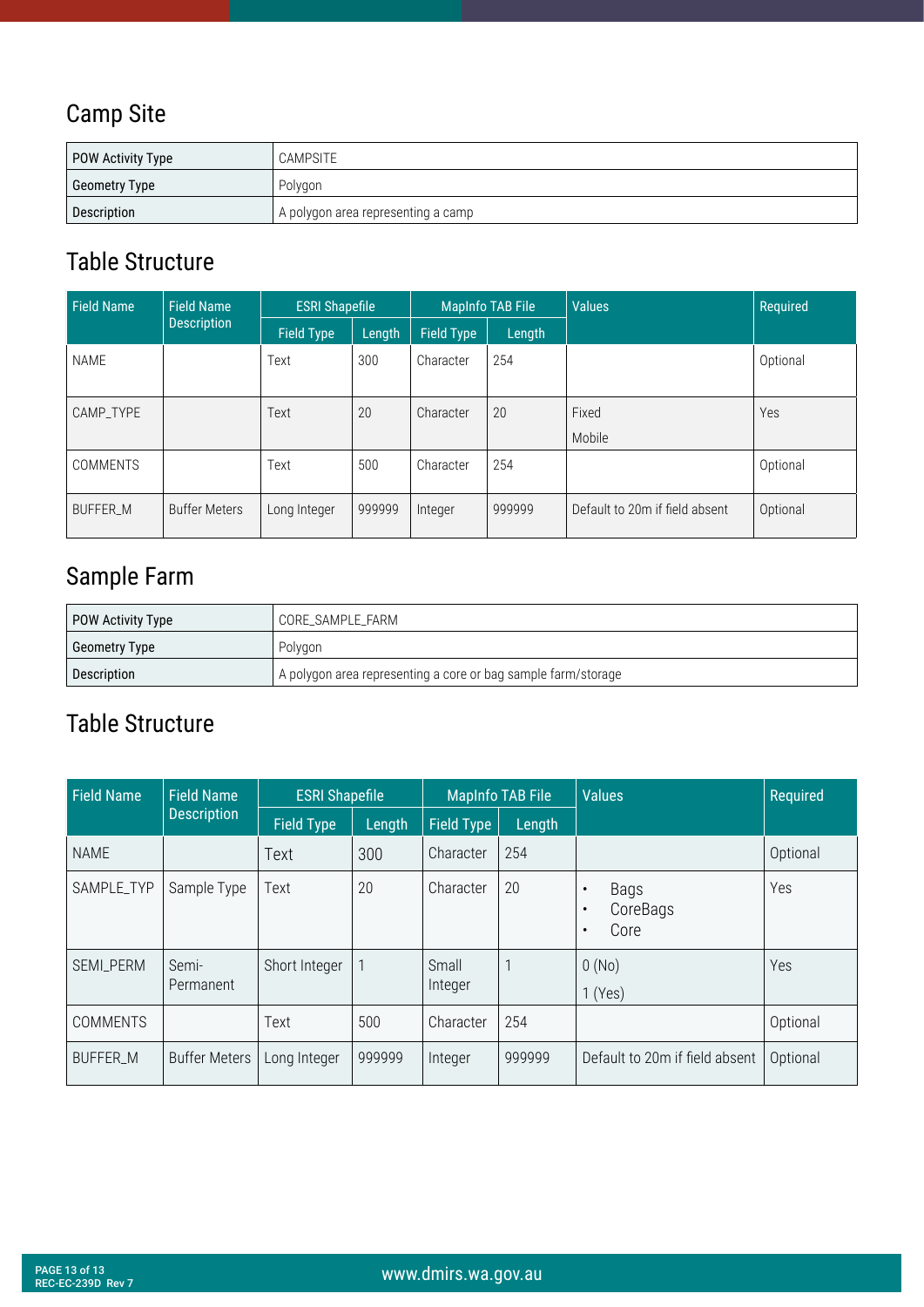#### <span id="page-12-0"></span>Camp Site

| POW Activity Type    | CAMPSITE                           |  |  |  |
|----------------------|------------------------------------|--|--|--|
| <b>Geometry Type</b> | Polygon                            |  |  |  |
| Description          | A polygon area representing a camp |  |  |  |

#### Table Structure

| <b>Field Name</b> | <b>ESRI Shapefile</b><br><b>Field Name</b> |                   | <b>MapInfo TAB File</b> |            | <b>Values</b> | Required                       |          |
|-------------------|--------------------------------------------|-------------------|-------------------------|------------|---------------|--------------------------------|----------|
|                   | <b>Description</b>                         | <b>Field Type</b> | Length                  | Field Type | Length        |                                |          |
| <b>NAME</b>       |                                            | Text              | 300                     | Character  | 254           |                                | Optional |
| CAMP_TYPE         |                                            | Text              | 20                      | Character  | 20            | Fixed<br>Mobile                | Yes      |
| <b>COMMENTS</b>   |                                            | Text              | 500                     | Character  | 254           |                                | Optional |
| <b>BUFFER M</b>   | <b>Buffer Meters</b>                       | Long Integer      | 999999                  | Integer    | 999999        | Default to 20m if field absent | Optional |

## Sample Farm

| POW Activity Type | CORE SAMPLE FARM                                              |
|-------------------|---------------------------------------------------------------|
| Geometry Type     | Polygon                                                       |
| Description       | A polygon area representing a core or bag sample farm/storage |

| <b>Field Name</b> | <b>Field Name</b>    |                   | <b>ESRI Shapefile</b> |                   | <b>MapInfo TAB File</b> | <b>Values</b>                                                   | Required |
|-------------------|----------------------|-------------------|-----------------------|-------------------|-------------------------|-----------------------------------------------------------------|----------|
|                   | <b>Description</b>   | <b>Field Type</b> | Length                | <b>Field Type</b> | Length                  |                                                                 |          |
| <b>NAME</b>       |                      | Text              | 300                   | Character         | 254                     |                                                                 | Optional |
| SAMPLE_TYP        | Sample Type          | Text              | 20                    | Character         | 20                      | Bags<br>$\bullet$<br>CoreBags<br>$\bullet$<br>Core<br>$\bullet$ | Yes      |
| SEMI_PERM         | Semi-<br>Permanent   | Short Integer     |                       | Small<br>Integer  |                         | 0(No)<br>1(Yes)                                                 | Yes      |
| <b>COMMENTS</b>   |                      | Text              | 500                   | Character         | 254                     |                                                                 | Optional |
| BUFFER_M          | <b>Buffer Meters</b> | Long Integer      | 999999                | Integer           | 999999                  | Default to 20m if field absent                                  | Optional |